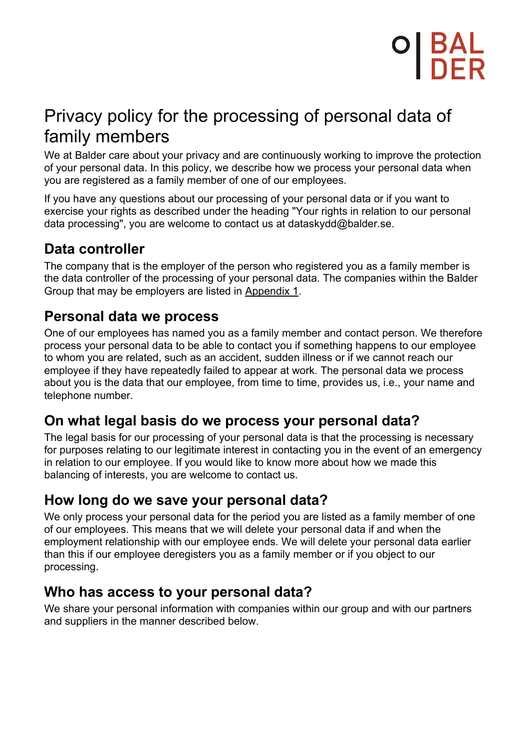## **DI BAL<br>I DER**

## Privacy policy for the processing of personal data of family members

We at Balder care about your privacy and are continuously working to improve the protection of your personal data. In this policy, we describe how we process your personal data when you are registered as a family member of one of our employees.

If you have any questions about our processing of your personal data or if you want to exercise your rights as described under the heading "Your rights in relation to our personal data processing", you are welcome to contact us at dataskydd@balder.se.

## **Data controller**

The company that is the employer of the person who registered you as a family member is the data controller of the processing of your personal data. The companies within the Balder Group that may be employers are listed in Appendix 1.

## **Personal data we process**

One of our employees has named you as a family member and contact person. We therefore process your personal data to be able to contact you if something happens to our employee to whom you are related, such as an accident, sudden illness or if we cannot reach our employee if they have repeatedly failed to appear at work. The personal data we process about you is the data that our employee, from time to time, provides us, i.e., your name and telephone number.

### **On what legal basis do we process your personal data?**

The legal basis for our processing of your personal data is that the processing is necessary for purposes relating to our legitimate interest in contacting you in the event of an emergency in relation to our employee. If you would like to know more about how we made this balancing of interests, you are welcome to contact us.

## **How long do we save your personal data?**

We only process your personal data for the period you are listed as a family member of one of our employees. This means that we will delete your personal data if and when the employment relationship with our employee ends. We will delete your personal data earlier than this if our employee deregisters you as a family member or if you object to our processing.

### **Who has access to your personal data?**

We share your personal information with companies within our group and with our partners and suppliers in the manner described below.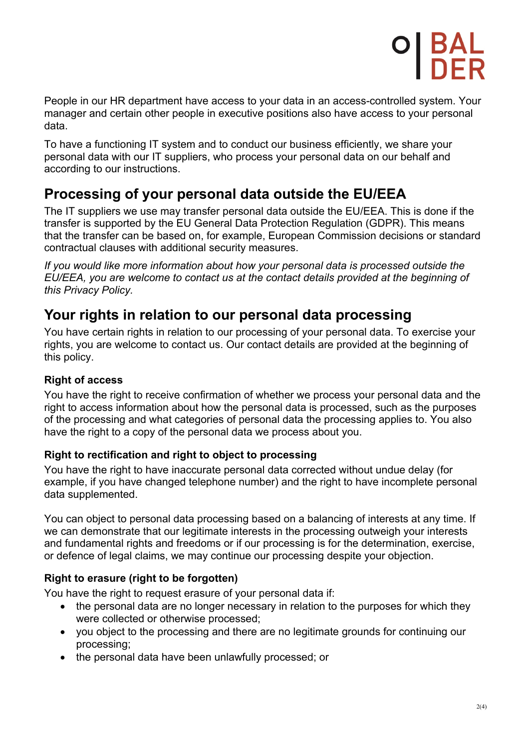

People in our HR department have access to your data in an access-controlled system. Your manager and certain other people in executive positions also have access to your personal data.

To have a functioning IT system and to conduct our business efficiently, we share your personal data with our IT suppliers, who process your personal data on our behalf and according to our instructions.

## **Processing of your personal data outside the EU/EEA**

The IT suppliers we use may transfer personal data outside the EU/EEA. This is done if the transfer is supported by the EU General Data Protection Regulation (GDPR). This means that the transfer can be based on, for example, European Commission decisions or standard contractual clauses with additional security measures.

*If you would like more information about how your personal data is processed outside the EU/EEA, you are welcome to contact us at the contact details provided at the beginning of this Privacy Policy.*

### **Your rights in relation to our personal data processing**

You have certain rights in relation to our processing of your personal data. To exercise your rights, you are welcome to contact us. Our contact details are provided at the beginning of this policy.

#### **Right of access**

You have the right to receive confirmation of whether we process your personal data and the right to access information about how the personal data is processed, such as the purposes of the processing and what categories of personal data the processing applies to. You also have the right to a copy of the personal data we process about you.

#### **Right to rectification and right to object to processing**

You have the right to have inaccurate personal data corrected without undue delay (for example, if you have changed telephone number) and the right to have incomplete personal data supplemented.

You can object to personal data processing based on a balancing of interests at any time. If we can demonstrate that our legitimate interests in the processing outweigh your interests and fundamental rights and freedoms or if our processing is for the determination, exercise, or defence of legal claims, we may continue our processing despite your objection.

#### **Right to erasure (right to be forgotten)**

You have the right to request erasure of your personal data if:

- the personal data are no longer necessary in relation to the purposes for which they were collected or otherwise processed;
- you object to the processing and there are no legitimate grounds for continuing our processing;
- the personal data have been unlawfully processed; or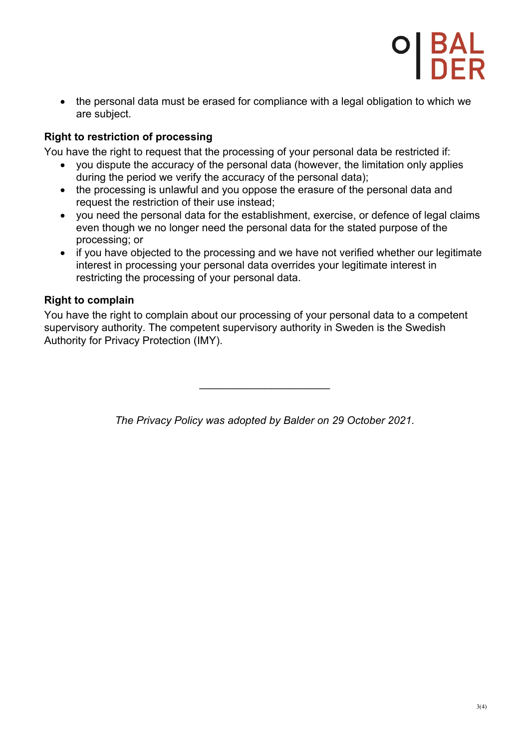

• the personal data must be erased for compliance with a legal obligation to which we are subject.

#### **Right to restriction of processing**

You have the right to request that the processing of your personal data be restricted if:

- you dispute the accuracy of the personal data (however, the limitation only applies during the period we verify the accuracy of the personal data);
- the processing is unlawful and you oppose the erasure of the personal data and request the restriction of their use instead;
- you need the personal data for the establishment, exercise, or defence of legal claims even though we no longer need the personal data for the stated purpose of the processing; or
- if you have objected to the processing and we have not verified whether our legitimate interest in processing your personal data overrides your legitimate interest in restricting the processing of your personal data.

#### **Right to complain**

You have the right to complain about our processing of your personal data to a competent supervisory authority. The competent supervisory authority in Sweden is the Swedish Authority for Privacy Protection (IMY).

*The Privacy Policy was adopted by Balder on 29 October 2021.*

 $\overline{\phantom{a}}$  , and the set of the set of the set of the set of the set of the set of the set of the set of the set of the set of the set of the set of the set of the set of the set of the set of the set of the set of the s